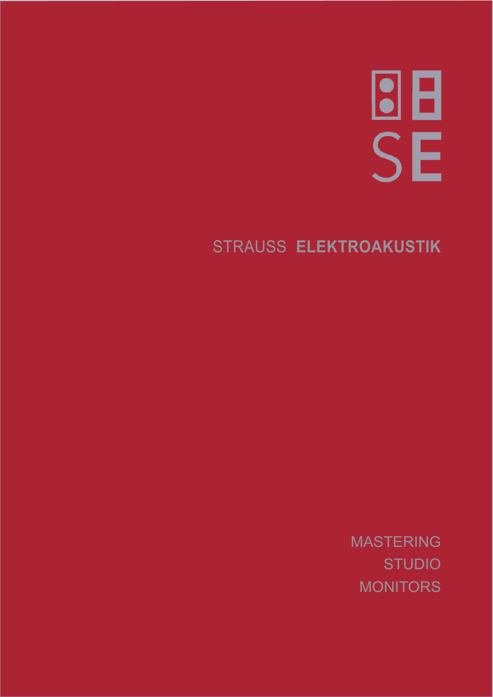# **SE**

#### STRAUSS **ELEKTROAKUSTIK**

MASTERING **STUDIO MONITORS**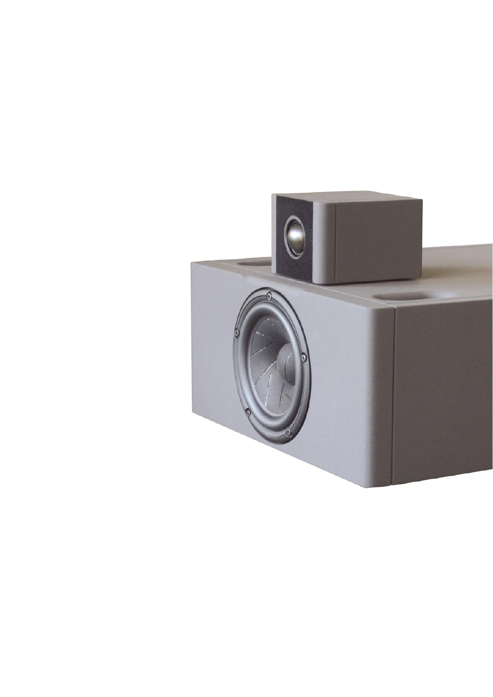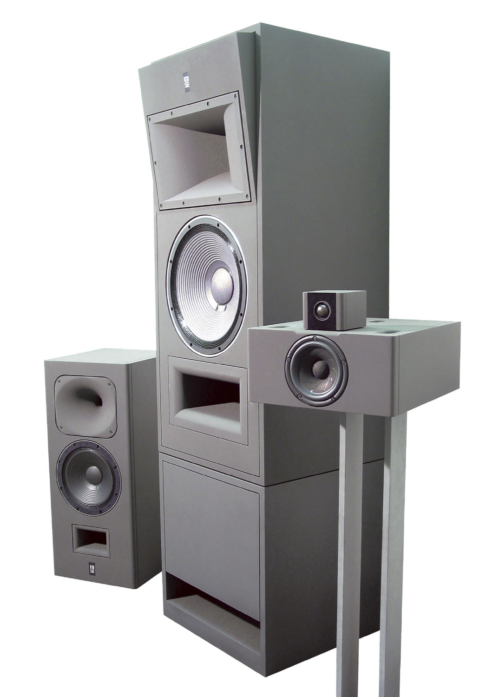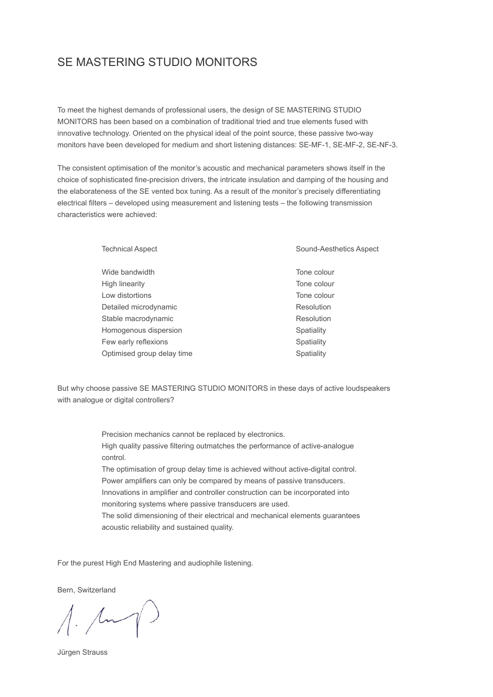#### SE MASTERING STUDIO MONITORS

To meet the highest demands of professional users, the design of SE MASTERING STUDIO MONITORS has been based on a combination of traditional tried and true elements fused with innovative technology. Oriented on the physical ideal of the point source, these passive two-way monitors have been developed for medium and short listening distances: SE-MF-1, SE-MF-2, SE-NF-3.

The consistent optimisation of the monitor's acoustic and mechanical parameters shows itself in the choice of sophisticated fine-precision drivers, the intricate insulation and damping of the housing and the elaborateness of the SE vented box tuning. As a result of the monitor's precisely differentiating electrical filters – developed using measurement and listening tests – the following transmission characteristics were achieved:

| <b>Technical Aspect</b>    | Sound-Aesthetics Aspect |
|----------------------------|-------------------------|
| Wide bandwidth             | Tone colour             |
| High linearity             | Tone colour             |
| Low distortions            | Tone colour             |
| Detailed microdynamic      | Resolution              |
| Stable macrodynamic        | Resolution              |
| Homogenous dispersion      | Spatiality              |
| Few early reflexions       | Spatiality              |
| Optimised group delay time | Spatiality              |

But why choose passive SE MASTERING STUDIO MONITORS in these days of active loudspeakers with analogue or digital controllers?

> Precision mechanics cannot be replaced by electronics. High quality passive filtering outmatches the performance of active-analogue control.

 The optimisation of group delay time is achieved without active-digital control. Power amplifiers can only be compared by means of passive transducers. Innovations in amplifier and controller construction can be incorporated into monitoring systems where passive transducers are used. The solid dimensioning of their electrical and mechanical elements guarantees

acoustic reliability and sustained quality.

For the purest High End Mastering and audiophile listening.

Bern, Switzerland

 $(1.4-1)$ 

Jürgen Strauss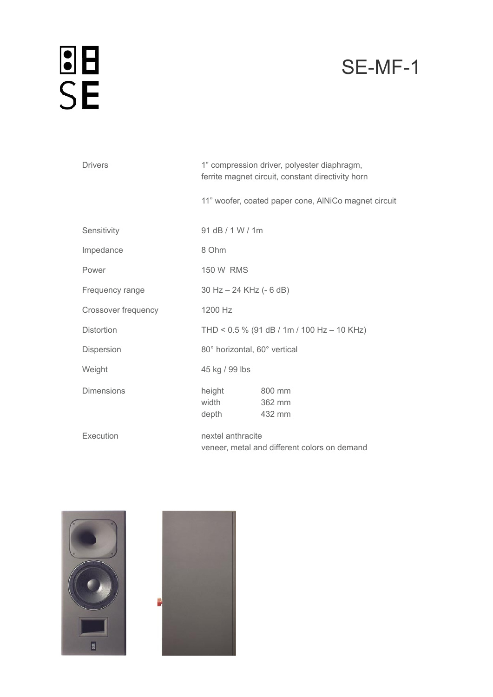## OD<br>SE

#### SE-MF-1

| <b>Drivers</b>      | 1" compression driver, polyester diaphragm,<br>ferrite magnet circuit, constant directivity horn |                                                      |
|---------------------|--------------------------------------------------------------------------------------------------|------------------------------------------------------|
|                     |                                                                                                  | 11" woofer, coated paper cone, AINiCo magnet circuit |
| Sensitivity         | 91 dB / 1 W / 1m                                                                                 |                                                      |
| Impedance           | 8 Ohm                                                                                            |                                                      |
| Power               | <b>150 W RMS</b>                                                                                 |                                                      |
| Frequency range     | 30 Hz - 24 KHz (- 6 dB)                                                                          |                                                      |
| Crossover frequency | 1200 Hz                                                                                          |                                                      |
| <b>Distortion</b>   | THD < 0.5 % (91 dB / 1m / 100 Hz - 10 KHz)                                                       |                                                      |
| Dispersion          | 80° horizontal, 60° vertical                                                                     |                                                      |
| Weight              | 45 kg / 99 lbs                                                                                   |                                                      |
| <b>Dimensions</b>   | height<br>width<br>depth                                                                         | 800 mm<br>362 mm<br>432 mm                           |
| Execution           | nextel anthracite<br>veneer, metal and different colors on demand                                |                                                      |



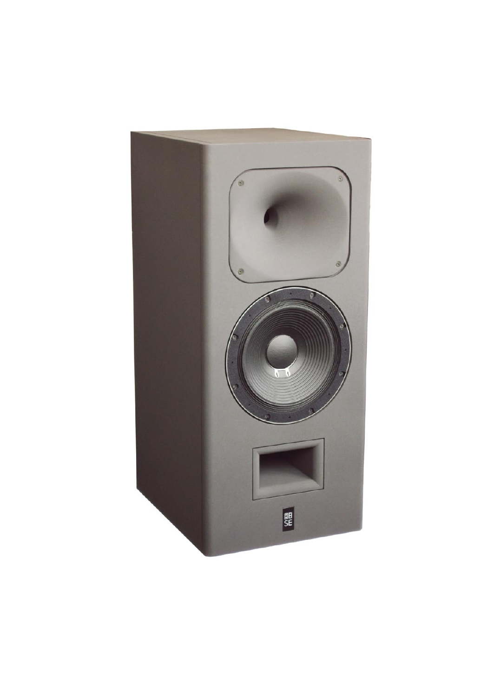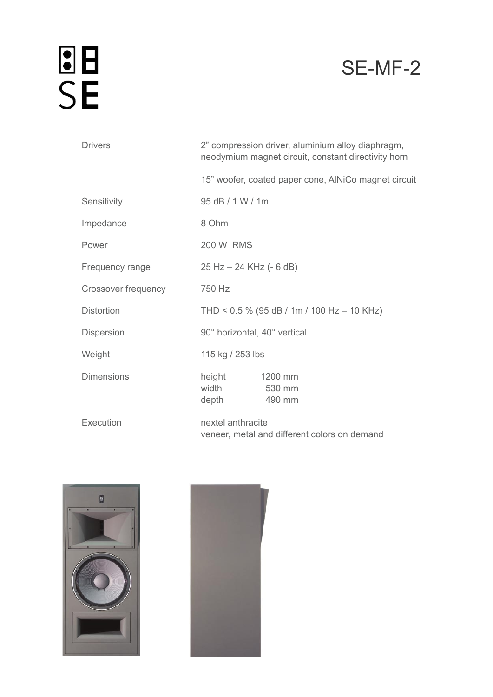## OD<br>SE

### SE-MF-2

| <b>Drivers</b>      | 2" compression driver, aluminium alloy diaphragm,<br>neodymium magnet circuit, constant directivity horn |                                                      |
|---------------------|----------------------------------------------------------------------------------------------------------|------------------------------------------------------|
|                     |                                                                                                          | 15" woofer, coated paper cone, AINiCo magnet circuit |
| Sensitivity         | 95 dB / 1 W / 1m                                                                                         |                                                      |
| Impedance           | 8 Ohm                                                                                                    |                                                      |
| Power               | <b>200 W RMS</b>                                                                                         |                                                      |
| Frequency range     | 25 Hz - 24 KHz (- 6 dB)                                                                                  |                                                      |
| Crossover frequency | 750 Hz                                                                                                   |                                                      |
| <b>Distortion</b>   | THD < $0.5$ % (95 dB / 1m / 100 Hz - 10 KHz)                                                             |                                                      |
| <b>Dispersion</b>   | 90° horizontal, 40° vertical                                                                             |                                                      |
| Weight              | 115 kg / 253 lbs                                                                                         |                                                      |
| <b>Dimensions</b>   | height<br>width<br>depth                                                                                 | 1200 mm<br>530 mm<br>490 mm                          |
| Execution           | nextel anthracite<br>veneer, metal and different colors on demand                                        |                                                      |



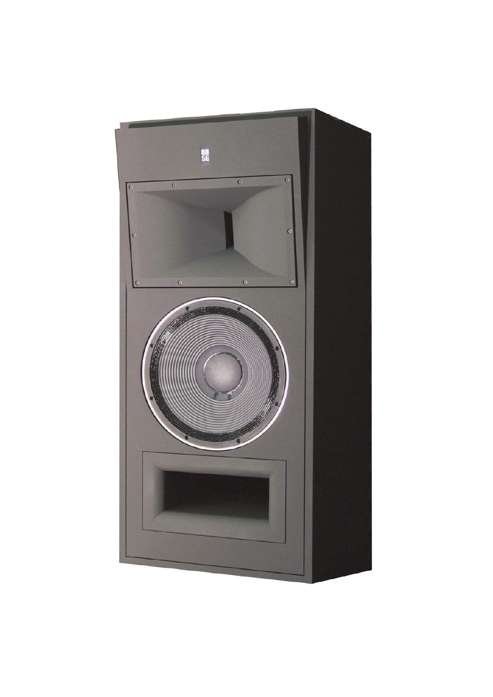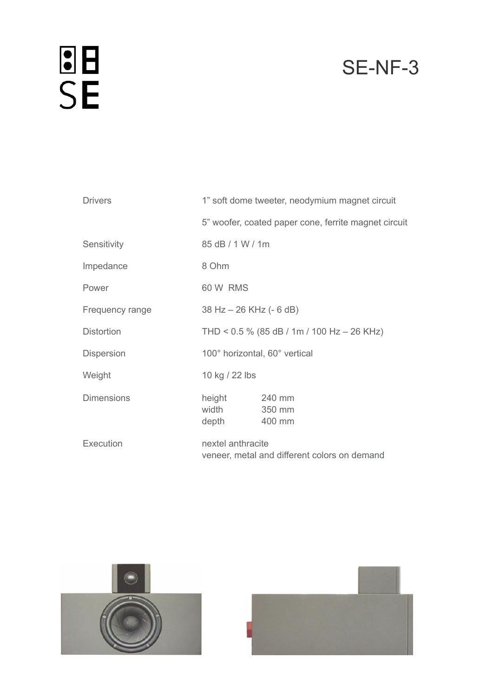## OB<br>SE

### SE-NF-3

| <b>Drivers</b>    | 1" soft dome tweeter, neodymium magnet circuit                    |                                                      |
|-------------------|-------------------------------------------------------------------|------------------------------------------------------|
|                   |                                                                   | 5" woofer, coated paper cone, ferrite magnet circuit |
| Sensitivity       | 85 dB / 1 W / 1m                                                  |                                                      |
| Impedance         | 8 Ohm                                                             |                                                      |
| Power             | 60 W RMS                                                          |                                                      |
| Frequency range   | 38 Hz - 26 KHz (- 6 dB)                                           |                                                      |
| <b>Distortion</b> | THD < $0.5$ % (85 dB / 1m / 100 Hz - 26 KHz)                      |                                                      |
| <b>Dispersion</b> | 100° horizontal, 60° vertical                                     |                                                      |
| Weight            | 10 kg / 22 lbs                                                    |                                                      |
| <b>Dimensions</b> | height<br>width<br>depth                                          | 240 mm<br>350 mm<br>400 mm                           |
| Execution         | nextel anthracite<br>veneer, metal and different colors on demand |                                                      |



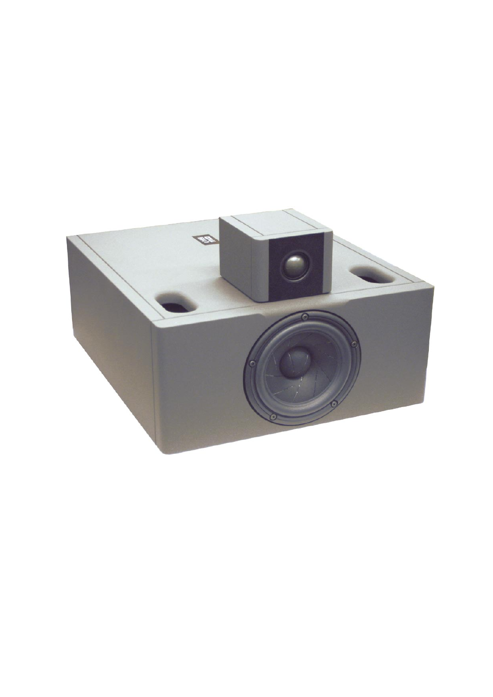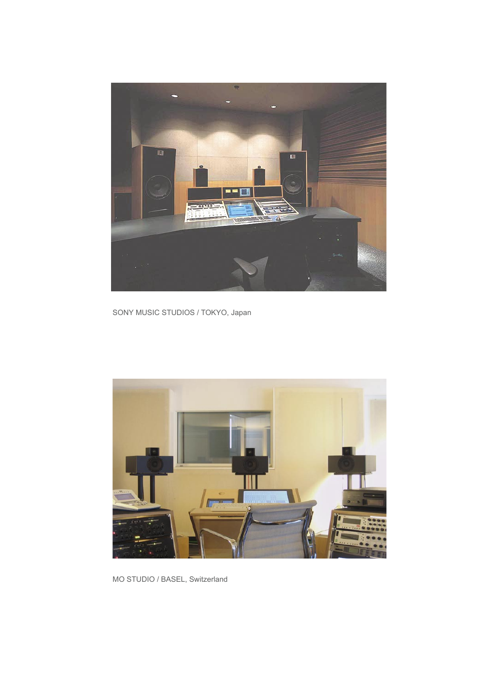

SONY MUSIC STUDIOS / TOKYO, Japan



MO STUDIO / BASEL, Switzerland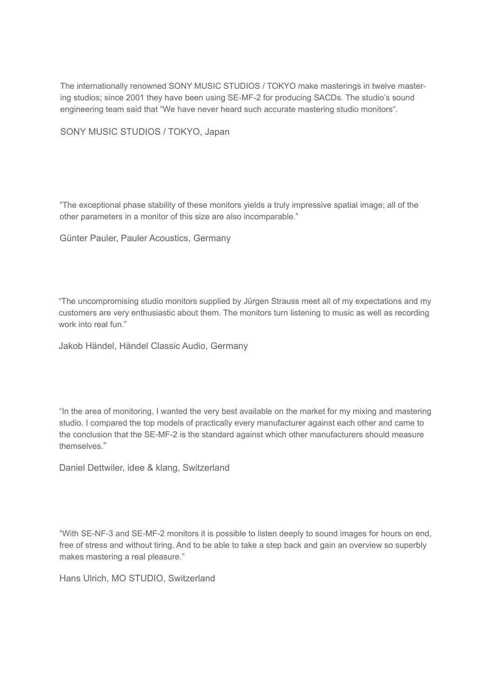The internationally renowned SONY MUSIC STUDIOS / TOKYO make masterings in twelve mastering studios; since 2001 they have been using SE-MF-2 for producing SACDs. The studio's sound engineering team said that "We have never heard such accurate mastering studio monitors".

SONY MUSIC STUDIOS / TOKYO, Japan

"The exceptional phase stability of these monitors yields a truly impressive spatial image; all of the other parameters in a monitor of this size are also incomparable."

Günter Pauler, Pauler Acoustics, Germany

"The uncompromising studio monitors supplied by Jürgen Strauss meet all of my expectations and my customers are very enthusiastic about them. The monitors turn listening to music as well as recording work into real fun."

Jakob Händel, Händel Classic Audio, Germany

"In the area of monitoring, I wanted the very best available on the market for my mixing and mastering studio. I compared the top models of practically every manufacturer against each other and came to the conclusion that the SE-MF-2 is the standard against which other manufacturers should measure themselves."

Daniel Dettwiler, idee & klang, Switzerland

"With SE-NF-3 and SE-MF-2 monitors it is possible to listen deeply to sound images for hours on end, free of stress and without tiring. And to be able to take a step back and gain an overview so superbly makes mastering a real pleasure."

Hans Ulrich, MO STUDIO, Switzerland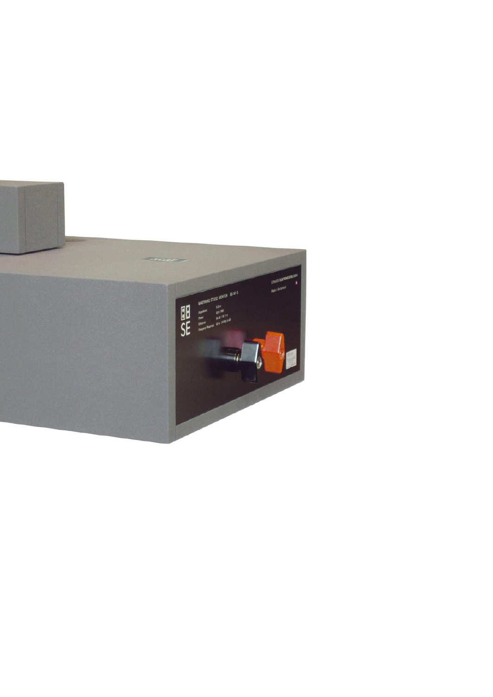